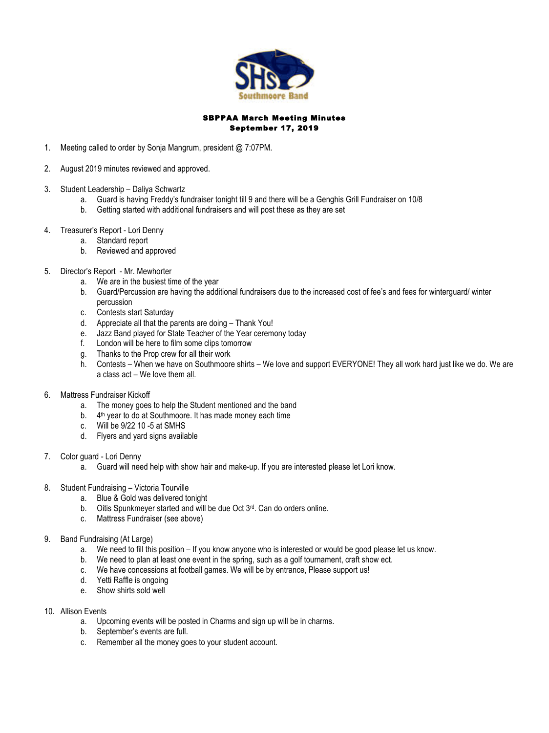

# SBPPAA March Meeting Minutes September 17, 2019

- 1. Meeting called to order by Sonja Mangrum, president @ 7:07PM.
- 2. August 2019 minutes reviewed and approved.
- 3. Student Leadership Daliya Schwartz
	- a. Guard is having Freddy's fundraiser tonight till 9 and there will be a Genghis Grill Fundraiser on 10/8
	- b. Getting started with additional fundraisers and will post these as they are set
- 4. Treasurer's Report Lori Denny
	- a. Standard report
	- b. Reviewed and approved
- 5. Director's Report Mr. Mewhorter
	- a. We are in the busiest time of the year
	- b. Guard/Percussion are having the additional fundraisers due to the increased cost of fee's and fees for winterguard/ winter percussion
	- c. Contests start Saturday
	- d. Appreciate all that the parents are doing Thank You!
	- e. Jazz Band played for State Teacher of the Year ceremony today
	- f. London will be here to film some clips tomorrow
	- g. Thanks to the Prop crew for all their work
	- h. Contests When we have on Southmoore shirts We love and support EVERYONE! They all work hard just like we do. We are a class act – We love them all.
- 6. Mattress Fundraiser Kickoff
	- a. The money goes to help the Student mentioned and the band
	- b. 4th year to do at Southmoore. It has made money each time
	- c. Will be 9/22 10 -5 at SMHS
		- d. Flyers and yard signs available
- 7. Color guard Lori Denny
	- a. Guard will need help with show hair and make-up. If you are interested please let Lori know.
- 8. Student Fundraising Victoria Tourville
	- a. Blue & Gold was delivered tonight
	- b. Oitis Spunkmeyer started and will be due Oct 3rd. Can do orders online.
	- c. Mattress Fundraiser (see above)
- 9. Band Fundraising (At Large)
	- a. We need to fill this position If you know anyone who is interested or would be good please let us know.
	- b. We need to plan at least one event in the spring, such as a golf tournament, craft show ect.
	- c. We have concessions at football games. We will be by entrance, Please support us!
	- d. Yetti Raffle is ongoing
	- e. Show shirts sold well
- 10. Allison Events
	- a. Upcoming events will be posted in Charms and sign up will be in charms.
	- b. September's events are full.
	- c. Remember all the money goes to your student account.